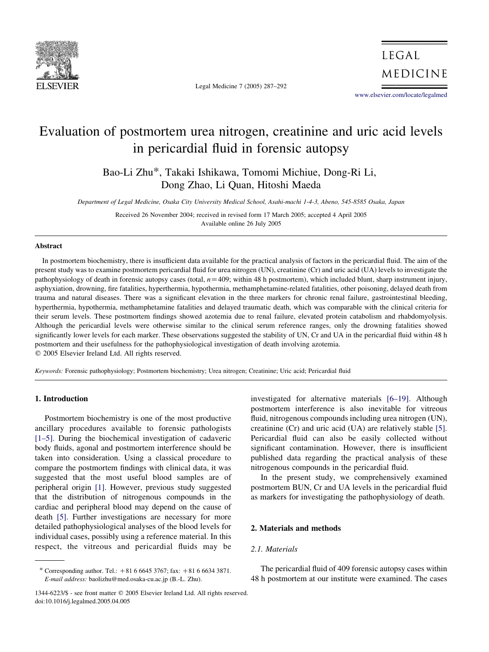

Legal Medicine 7 (2005) 287–292

**LEGAL** MEDICINE

[www.elsevier.com/locate/legalmed](http://www.elsevier.com/locate/legalmed)

# Evaluation of postmortem urea nitrogen, creatinine and uric acid levels in pericardial fluid in forensic autopsy

Bao-Li Zhu\*, Takaki Ishikawa, Tomomi Michiue, Dong-Ri Li, Dong Zhao, Li Quan, Hitoshi Maeda

Department of Legal Medicine, Osaka City University Medical School, Asahi-machi 1-4-3, Abeno, 545-8585 Osaka, Japan

Received 26 November 2004; received in revised form 17 March 2005; accepted 4 April 2005 Available online 26 July 2005

## Abstract

In postmortem biochemistry, there is insufficient data available for the practical analysis of factors in the pericardial fluid. The aim of the present study was to examine postmortem pericardial fluid for urea nitrogen (UN), creatinine (Cr) and uric acid (UA) levels to investigate the pathophysiology of death in forensic autopsy cases (total,  $n=409$ ; within 48 h postmortem), which included blunt, sharp instrument injury, asphyxiation, drowning, fire fatalities, hyperthermia, hypothermia, methamphetamine-related fatalities, other poisoning, delayed death from trauma and natural diseases. There was a significant elevation in the three markers for chronic renal failure, gastrointestinal bleeding, hyperthermia, hypothermia, methamphetamine fatalities and delayed traumatic death, which was comparable with the clinical criteria for their serum levels. These postmortem findings showed azotemia due to renal failure, elevated protein catabolism and rhabdomyolysis. Although the pericardial levels were otherwise similar to the clinical serum reference ranges, only the drowning fatalities showed significantly lower levels for each marker. These observations suggested the stability of UN, Cr and UA in the pericardial fluid within 48 h postmortem and their usefulness for the pathophysiological investigation of death involving azotemia.  $Q$  2005 Elsevier Ireland Ltd. All rights reserved.

Keywords: Forensic pathophysiology; Postmortem biochemistry; Urea nitrogen; Creatinine; Uric acid; Pericardial fluid

## 1. Introduction

Postmortem biochemistry is one of the most productive ancillary procedures available to forensic pathologists [\[1–5\]](#page-4-0). During the biochemical investigation of cadaveric body fluids, agonal and postmortem interference should be taken into consideration. Using a classical procedure to compare the postmortem findings with clinical data, it was suggested that the most useful blood samples are of peripheral origin [\[1\]](#page-4-0). However, previous study suggested that the distribution of nitrogenous compounds in the cardiac and peripheral blood may depend on the cause of death [\[5\].](#page-4-0) Further investigations are necessary for more detailed pathophysiological analyses of the blood levels for individual cases, possibly using a reference material. In this respect, the vitreous and pericardial fluids may be

investigated for alternative materials [\[6–19\].](#page-4-0) Although postmortem interference is also inevitable for vitreous

## 2. Materials and methods

# 2.1. Materials

The pericardial fluid of 409 forensic autopsy cases within 48 h postmortem at our institute were examined. The cases

as markers for investigating the pathophysiology of death.

<sup>\*</sup> Corresponding author. Tel.:  $+81666453767$ ; fax:  $+81666343871$ . E-mail address: baolizhu@med.osaka-cu.ac.jp (B.-L. Zhu).

fluid, nitrogenous compounds including urea nitrogen (UN), creatinine (Cr) and uric acid (UA) are relatively stable [\[5\]](#page-4-0). Pericardial fluid can also be easily collected without significant contamination. However, there is insufficient published data regarding the practical analysis of these nitrogenous compounds in the pericardial fluid. In the present study, we comprehensively examined postmortem BUN, Cr and UA levels in the pericardial fluid

<sup>1344-6223/\$ -</sup> see front matter q 2005 Elsevier Ireland Ltd. All rights reserved. doi:10.1016/j.legalmed.2005.04.005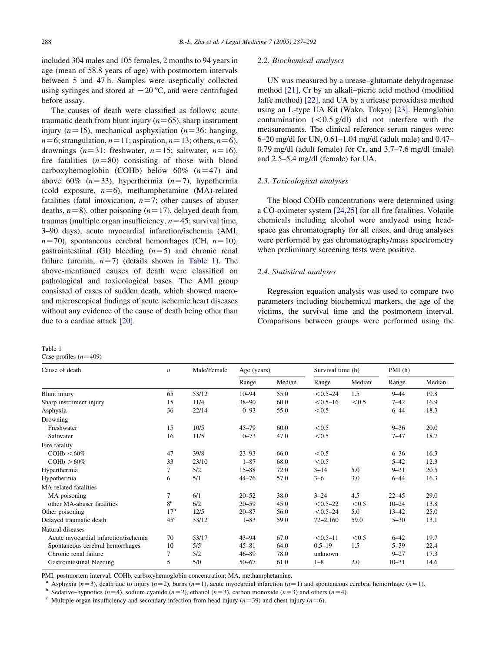<span id="page-1-0"></span>included 304 males and 105 females, 2 months to 94 years in age (mean of 58.8 years of age) with postmortem intervals between 5 and 47 h. Samples were aseptically collected using syringes and stored at  $-20$  °C, and were centrifuged before assay.

The causes of death were classified as follows: acute traumatic death from blunt injury  $(n=65)$ , sharp instrument injury ( $n=15$ ), mechanical asphyxiation ( $n=36$ : hanging,  $n=6$ ; strangulation,  $n=11$ ; aspiration,  $n=13$ ; others,  $n=6$ ), drownings  $(n=31:$  freshwater,  $n=15$ ; saltwater,  $n=16$ ), fire fatalities  $(n=80)$  consisting of those with blood carboxyhemoglobin (COHb) below  $60\%$   $(n=47)$  and above 60%  $(n=33)$ , hyperthermia  $(n=7)$ , hypothermia (cold exposure,  $n=6$ ), methamphetamine (MA)-related fatalities (fatal intoxication,  $n=7$ ; other causes of abuser deaths,  $n=8$ ), other poisoning ( $n=17$ ), delayed death from traumas (multiple organ insufficiency,  $n=45$ ; survival time, 3–90 days), acute myocardial infarction/ischemia (AMI,  $n=70$ ), spontaneous cerebral hemorrhages (CH,  $n=10$ ), gastrointestinal (GI) bleeding  $(n=5)$  and chronic renal failure (uremia,  $n=7$ ) (details shown in Table 1). The above-mentioned causes of death were classified on pathological and toxicological bases. The AMI group consisted of cases of sudden death, which showed macroand microscopical findings of acute ischemic heart diseases without any evidence of the cause of death being other than due to a cardiac attack [\[20\].](#page-5-0)

#### Table 1 Case profiles  $(n=409)$

#### 2.2. Biochemical analyses

UN was measured by a urease–glutamate dehydrogenase method [\[21\]](#page-5-0), Cr by an alkali–picric acid method (modified Jaffe method) [\[22\],](#page-5-0) and UA by a uricase peroxidase method using an L-type UA Kit (Wako, Tokyo) [\[23\]](#page-5-0). Hemoglobin contamination  $(< 0.5 \text{ g/dl})$  did not interfere with the measurements. The clinical reference serum ranges were: 6–20 mg/dl for UN, 0.61–1.04 mg/dl (adult male) and 0.47– 0.79 mg/dl (adult female) for Cr, and 3.7–7.6 mg/dl (male) and 2.5–5.4 mg/dl (female) for UA.

## 2.3. Toxicological analyses

The blood COHb concentrations were determined using a CO-oximeter system [\[24,25\]](#page-5-0) for all fire fatalities. Volatile chemicals including alcohol were analyzed using headspace gas chromatography for all cases, and drug analyses were performed by gas chromatography/mass spectrometry when preliminary screening tests were positive.

# 2.4. Statistical analyses

Regression equation analysis was used to compare two parameters including biochemical markers, the age of the victims, the survival time and the postmortem interval. Comparisons between groups were performed using the

| Cause of death                       | $\boldsymbol{n}$ | Male/Female | Age (years) |        | Survival time (h) |        | PMI(h)    |        |
|--------------------------------------|------------------|-------------|-------------|--------|-------------------|--------|-----------|--------|
|                                      |                  |             | Range       | Median | Range             | Median | Range     | Median |
| Blunt injury                         | 65               | 53/12       | $10 - 94$   | 55.0   | $< 0.5 - 24$      | 1.5    | $9 - 44$  | 19.8   |
| Sharp instrument injury              | 15               | 11/4        | $38 - 90$   | 60.0   | $< 0.5 - 16$      | < 0.5  | $7 - 42$  | 16.9   |
| Asphyxia                             | 36               | 22/14       | $0 - 93$    | 55.0   | < 0.5             |        | $6 - 44$  | 18.3   |
| Drowning                             |                  |             |             |        |                   |        |           |        |
| Freshwater                           | 15               | 10/5        | $45 - 79$   | 60.0   | < 0.5             |        | $9 - 36$  | 20.0   |
| Saltwater                            | 16               | 11/5        | $0 - 73$    | 47.0   | < 0.5             |        | $7 - 47$  | 18.7   |
| Fire fatality                        |                  |             |             |        |                   |        |           |        |
| $COHb < 60\%$                        | 47               | 39/8        | $23 - 93$   | 66.0   | < 0.5             |        | $6 - 36$  | 16.3   |
| $COHb > 60\%$                        | 33               | 23/10       | $1 - 87$    | 68.0   | < 0.5             |        | $5 - 42$  | 12.3   |
| Hyperthermia                         | 7                | 5/2         | $15 - 88$   | 72.0   | $3 - 14$          | 5.0    | $9 - 31$  | 20.5   |
| Hypothermia                          | 6                | 5/1         | $44 - 76$   | 57.0   | $3 - 6$           | 3.0    | $6 - 44$  | 16.3   |
| MA-related fatalities                |                  |             |             |        |                   |        |           |        |
| MA poisoning                         | 7                | 6/1         | $20 - 52$   | 38.0   | $3 - 24$          | 4.5    | $22 - 45$ | 29.0   |
| other MA-abuser fatalities           | 8 <sup>a</sup>   | 6/2         | $20 - 59$   | 45.0   | $< 0.5 - 22$      | < 0.5  | $10 - 24$ | 13.8   |
| Other poisoning                      | 17 <sup>b</sup>  | 12/5        | $20 - 87$   | 56.0   | $< 0.5 - 24$      | 5.0    | $13 - 42$ | 25.0   |
| Delayed traumatic death              | $45^{\circ}$     | 33/12       | $1 - 83$    | 59.0   | $72 - 2,160$      | 59.0   | $5 - 30$  | 13.1   |
| Natural diseases                     |                  |             |             |        |                   |        |           |        |
| Acute myocardial infarction/ischemia | 70               | 53/17       | $43 - 94$   | 67.0   | $< 0.5 - 11$      | < 0.5  | $6 - 42$  | 19.7   |
| Spontaneous cerebral hemorrhages     | 10               | 5/5         | $45 - 81$   | 64.0   | $0.5 - 19$        | 1.5    | $5 - 39$  | 22.4   |
| Chronic renal failure                | 7                | 5/2         | $46 - 89$   | 78.0   | unknown           |        | $9 - 27$  | 17.3   |
| Gastrointestinal bleeding            | 5                | 5/0         | $50 - 67$   | 61.0   | $1 - 8$           | 2.0    | $10 - 31$ | 14.6   |

PMI, postmortem interval; COHb, carboxyhemoglobin concentration; MA, methamphetamine.

<sup>a</sup> Asphyxia (n=3), death due to injury (n=2), burns (n=1), acute myocardial infarction (n=1) and spontaneous cerebral hemorrhage (n=1).<br><sup>b</sup> Sedetive hypnotics (n=4) sodium cyonide (n=2) athanol (n=3) carbon monoxide (n=3

Sedative–hypnotics (n=4), sodium cyanide (n=2), ethanol (n=3), carbon monoxide (n=3) and others (n=4). Multiple organ insufficiency and secondary infection from head injury (n=39) and chest injury (n=6).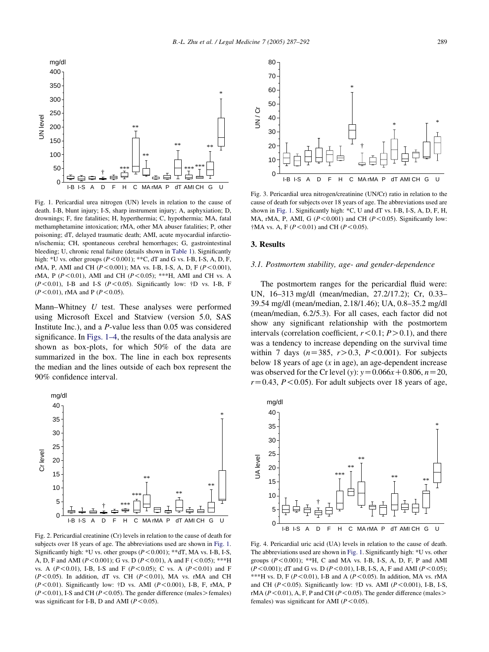<span id="page-2-0"></span>

Fig. 1. Pericardial urea nitrogen (UN) levels in relation to the cause of death. I-B, blunt injury; I-S, sharp instrument injury; A, asphyxiation; D, drownings; F, fire fatalities; H, hyperthermia; C, hypothermia; MA, fatal methamphetamine intoxication; rMA, other MA abuser fatalities; P, other poisoning; dT, delayed traumatic death; AMI, acute myocardial infarction/ischemia; CH, spontaneous cerebral hemorrhages; G, gastrointestinal bleeding; U, chronic renal failure (details shown in [Table 1\)](#page-1-0). Significantly high:  $*U$  vs. other groups ( $P < 0.001$ );  $*C$ , dT and G vs. I-B, I-S, A, D, F, rMA, P, AMI and CH ( $P < 0.001$ ); MA vs. I-B, I-S, A, D, F ( $P < 0.001$ ), rMA, P ( $P < 0.01$ ), AMI and CH ( $P < 0.05$ ); \*\*\*H, AMI and CH vs. A  $(P<0.01)$ , I-B and I-S  $(P<0.05)$ . Significantly low: †D vs. I-B, F  $(P<0.01)$ , rMA and P ( $P<0.05$ ).

Mann–Whitney U test. These analyses were performed using Microsoft Excel and Statview (version 5.0, SAS Institute Inc.), and a P-value less than 0.05 was considered significance. In Figs. 1–4, the results of the data analysis are shown as box-plots, for which 50% of the data are summarized in the box. The line in each box represents the median and the lines outside of each box represent the 90% confidence interval.



Fig. 2. Pericardial creatinine (Cr) levels in relation to the cause of death for subjects over 18 years of age. The abbreviations used are shown in Fig. 1. Significantly high: \*U vs. other groups  $(P<0.001)$ ; \*\*dT, MA vs. I-B, I-S, A, D, F and AMI ( $P < 0.001$ ); G vs. D ( $P < 0.01$ ), A and F ( $< 0.05$ ); \*\*\*H vs. A ( $P < 0.01$ ), I-B, I-S and F ( $P < 0.05$ ); C vs. A ( $P < 0.01$ ) and F  $(P<0.05)$ . In addition, dT vs. CH  $(P<0.01)$ , MA vs. rMA and CH  $(P<0.01)$ . Significantly low: †D vs. AMI  $(P<0.001)$ , I-B, F, rMA, P  $(P<0.01)$ , I-S and CH ( $P<0.05$ ). The gender difference (males > females) was significant for I-B, D and AMI ( $P < 0.05$ ).



Fig. 3. Pericardial urea nitrogen/creatinine (UN/Cr) ratio in relation to the cause of death for subjects over 18 years of age. The abbreviations used are shown in Fig. 1. Significantly high: \*C, U and dT vs. I-B, I-S, A, D, F, H, MA, rMA, P, AMI, G ( $P < 0.001$ ) and CH ( $P < 0.05$ ). Significantly low:  $\dagger$ MA vs. A, F (P<0.01) and CH (P<0.05).

#### 3. Results

#### 3.1. Postmortem stability, age- and gender-dependence

The postmortem ranges for the pericardial fluid were: UN, 16–313 mg/dl (mean/median, 27.2/17.2); Cr, 0.33– 39.54 mg/dl (mean/median, 2.18/1.46); UA, 0.8–35.2 mg/dl (mean/median, 6.2/5.3). For all cases, each factor did not show any significant relationship with the postmortem intervals (correlation coefficient,  $r < 0.1$ ;  $P > 0.1$ ), and there was a tendency to increase depending on the survival time within 7 days ( $n=385$ ,  $r>0.3$ ,  $P < 0.001$ ). For subjects below 18 years of age  $(x \text{ in age})$ , an age-dependent increase was observed for the Cr level (y):  $y=0.066x+0.806$ ,  $n=20$ ,  $r=0.43$ ,  $P < 0.05$ ). For adult subjects over 18 years of age,



Fig. 4. Pericardial uric acid (UA) levels in relation to the cause of death. The abbreviations used are shown in Fig. 1. Significantly high: \*U vs. other groups  $(P<0.001)$ ; \*\*H, C and MA vs. I-B, I-S, A, D, F, P and AMI  $(P<0.001)$ ; dT and G vs. D (P < 0.01), I-B, I-S, A, F and AMI (P < 0.05); \*\*\*H vs. D, F ( $P < 0.01$ ), I-B and A ( $P < 0.05$ ). In addition, MA vs. rMA and CH ( $P < 0.05$ ). Significantly low:  $\dagger$ D vs. AMI ( $P < 0.001$ ), I-B, I-S, rMA ( $P < 0.01$ ), A, F, P and CH ( $P < 0.05$ ). The gender difference (males females) was significant for AMI ( $P < 0.05$ ).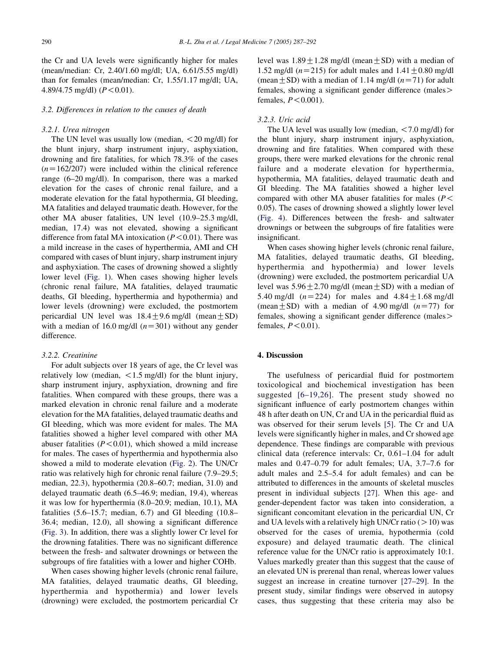the Cr and UA levels were significantly higher for males (mean/median: Cr, 2.40/1.60 mg/dl; UA, 6.61/5.55 mg/dl) than for females (mean/median: Cr, 1.55/1.17 mg/dl; UA, 4.89/4.75 mg/dl)  $(P < 0.01)$ .

## 3.2. Differences in relation to the causes of death

### 3.2.1. Urea nitrogen

The UN level was usually low (median,  $\langle 20 \text{ mg/dl} \rangle$  for the blunt injury, sharp instrument injury, asphyxiation, drowning and fire fatalities, for which 78.3% of the cases  $(n=162/207)$  were included within the clinical reference range (6–20 mg/dl). In comparison, there was a marked elevation for the cases of chronic renal failure, and a moderate elevation for the fatal hypothermia, GI bleeding, MA fatalities and delayed traumatic death. However, for the other MA abuser fatalities, UN level (10.9–25.3 mg/dl, median, 17.4) was not elevated, showing a significant difference from fatal MA intoxication  $(P<0.01)$ . There was a mild increase in the cases of hyperthermia, AMI and CH compared with cases of blunt injury, sharp instrument injury and asphyxiation. The cases of drowning showed a slightly lower level [\(Fig. 1\)](#page-2-0). When cases showing higher levels (chronic renal failure, MA fatalities, delayed traumatic deaths, GI bleeding, hyperthermia and hypothermia) and lower levels (drowning) were excluded, the postmortem pericardial UN level was  $18.4 + 9.6$  mg/dl (mean + SD) with a median of 16.0 mg/dl  $(n=301)$  without any gender difference.

## 3.2.2. Creatinine

For adult subjects over 18 years of age, the Cr level was relatively low (median,  $\langle 1.5 \text{ mg/dl} \rangle$  for the blunt injury, sharp instrument injury, asphyxiation, drowning and fire fatalities. When compared with these groups, there was a marked elevation in chronic renal failure and a moderate elevation for the MA fatalities, delayed traumatic deaths and GI bleeding, which was more evident for males. The MA fatalities showed a higher level compared with other MA abuser fatalities  $(P < 0.01)$ , which showed a mild increase for males. The cases of hyperthermia and hypothermia also showed a mild to moderate elevation [\(Fig. 2](#page-2-0)). The UN/Cr ratio was relatively high for chronic renal failure (7.9–29.5; median, 22.3), hypothermia (20.8–60.7; median, 31.0) and delayed traumatic death (6.5–46.9; median, 19.4), whereas it was low for hyperthermia (8.0–20.9; median, 10.1), MA fatalities (5.6–15.7; median, 6.7) and GI bleeding (10.8– 36.4; median, 12.0), all showing a significant difference ([Fig. 3\)](#page-2-0). In addition, there was a slightly lower Cr level for the drowning fatalities. There was no significant difference between the fresh- and saltwater drownings or between the subgroups of fire fatalities with a lower and higher COHb.

When cases showing higher levels (chronic renal failure, MA fatalities, delayed traumatic deaths, GI bleeding, hyperthermia and hypothermia) and lower levels (drowning) were excluded, the postmortem pericardial Cr level was  $1.89 \pm 1.28$  mg/dl (mean  $\pm$  SD) with a median of 1.52 mg/dl  $(n=215)$  for adult males and  $1.41 + 0.80$  mg/dl (mean + SD) with a median of 1.14 mg/dl  $(n=71)$  for adult females, showing a significant gender difference (males> females,  $P < 0.001$ ).

# 3.2.3. Uric acid

The UA level was usually low (median,  $\lt 7.0$  mg/dl) for the blunt injury, sharp instrument injury, asphyxiation, drowning and fire fatalities. When compared with these groups, there were marked elevations for the chronic renal failure and a moderate elevation for hyperthermia, hypothermia, MA fatalities, delayed traumatic death and GI bleeding. The MA fatalities showed a higher level compared with other MA abuser fatalities for males ( $P$  < 0.05). The cases of drowning showed a slightly lower level ([Fig. 4\)](#page-2-0). Differences between the fresh- and saltwater drownings or between the subgroups of fire fatalities were insignificant.

When cases showing higher levels (chronic renal failure, MA fatalities, delayed traumatic deaths, GI bleeding, hyperthermia and hypothermia) and lower levels (drowning) were excluded, the postmortem pericardial UA level was  $5.96 \pm 2.70$  mg/dl (mean  $\pm$  SD) with a median of 5.40 mg/dl  $(n=224)$  for males and  $4.84 \pm 1.68$  mg/dl (mean  $\pm$  SD) with a median of 4.90 mg/dl (n=77) for females, showing a significant gender difference (males> females,  $P < 0.01$ ).

## 4. Discussion

The usefulness of pericardial fluid for postmortem toxicological and biochemical investigation has been suggested [\[6–19,26\].](#page-4-0) The present study showed no significant influence of early postmortem changes within 48 h after death on UN, Cr and UA in the pericardial fluid as was observed for their serum levels [\[5\]](#page-4-0). The Cr and UA levels were significantly higher in males, and Cr showed age dependence. These findings are comparable with previous clinical data (reference intervals: Cr, 0.61–1.04 for adult males and 0.47–0.79 for adult females; UA, 3.7–7.6 for adult males and 2.5–5.4 for adult females) and can be attributed to differences in the amounts of skeletal muscles present in individual subjects [\[27\].](#page-5-0) When this age- and gender-dependent factor was taken into consideration, a significant concomitant elevation in the pericardial UN, Cr and UA levels with a relatively high UN/Cr ratio  $(>10)$  was observed for the cases of uremia, hypothermia (cold exposure) and delayed traumatic death. The clinical reference value for the UN/Cr ratio is approximately 10:1. Values markedly greater than this suggest that the cause of an elevated UN is prerenal than renal, whereas lower values suggest an increase in creatine turnover [\[27–29\].](#page-5-0) In the present study, similar findings were observed in autopsy cases, thus suggesting that these criteria may also be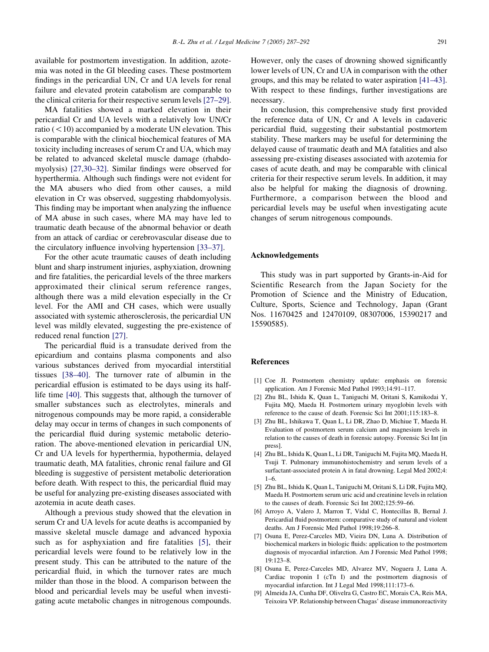<span id="page-4-0"></span>available for postmortem investigation. In addition, azotemia was noted in the GI bleeding cases. These postmortem findings in the pericardial UN, Cr and UA levels for renal failure and elevated protein catabolism are comparable to the clinical criteria for their respective serum levels [\[27–29\]](#page-5-0).

MA fatalities showed a marked elevation in their pericardial Cr and UA levels with a relatively low UN/Cr ratio  $(< 10$ ) accompanied by a moderate UN elevation. This is comparable with the clinical biochemical features of MA toxicity including increases of serum Cr and UA, which may be related to advanced skeletal muscle damage (rhabdomyolysis) [\[27,30–32\]](#page-5-0). Similar findings were observed for hyperthermia. Although such findings were not evident for the MA abusers who died from other causes, a mild elevation in Cr was observed, suggesting rhabdomyolysis. This finding may be important when analyzing the influence of MA abuse in such cases, where MA may have led to traumatic death because of the abnormal behavior or death from an attack of cardiac or cerebrovascular disease due to the circulatory influence involving hypertension [\[33–37\].](#page-5-0)

For the other acute traumatic causes of death including blunt and sharp instrument injuries, asphyxiation, drowning and fire fatalities, the pericardial levels of the three markers approximated their clinical serum reference ranges, although there was a mild elevation especially in the Cr level. For the AMI and CH cases, which were usually associated with systemic atherosclerosis, the pericardial UN level was mildly elevated, suggesting the pre-existence of reduced renal function [\[27\]](#page-5-0).

The pericardial fluid is a transudate derived from the epicardium and contains plasma components and also various substances derived from myocardial interstitial tissues [\[38–40\].](#page-5-0) The turnover rate of albumin in the pericardial effusion is estimated to be days using its halflife time [\[40\]](#page-5-0). This suggests that, although the turnover of smaller substances such as electrolytes, minerals and nitrogenous compounds may be more rapid, a considerable delay may occur in terms of changes in such components of the pericardial fluid during systemic metabolic deterioration. The above-mentioned elevation in pericardial UN, Cr and UA levels for hyperthermia, hypothermia, delayed traumatic death, MA fatalities, chronic renal failure and GI bleeding is suggestive of persistent metabolic deterioration before death. With respect to this, the pericardial fluid may be useful for analyzing pre-existing diseases associated with azotemia in acute death cases.

Although a previous study showed that the elevation in serum Cr and UA levels for acute deaths is accompanied by massive skeletal muscle damage and advanced hypoxia such as for asphyxiation and fire fatalities [5], their pericardial levels were found to be relatively low in the present study. This can be attributed to the nature of the pericardial fluid, in which the turnover rates are much milder than those in the blood. A comparison between the blood and pericardial levels may be useful when investigating acute metabolic changes in nitrogenous compounds.

However, only the cases of drowning showed significantly lower levels of UN, Cr and UA in comparison with the other groups, and this may be related to water aspiration [\[41–43\]](#page-5-0). With respect to these findings, further investigations are necessary.

In conclusion, this comprehensive study first provided the reference data of UN, Cr and A levels in cadaveric pericardial fluid, suggesting their substantial postmortem stability. These markers may be useful for determining the delayed cause of traumatic death and MA fatalities and also assessing pre-existing diseases associated with azotemia for cases of acute death, and may be comparable with clinical criteria for their respective serum levels. In addition, it may also be helpful for making the diagnosis of drowning. Furthermore, a comparison between the blood and pericardial levels may be useful when investigating acute changes of serum nitrogenous compounds.

## Acknowledgements

This study was in part supported by Grants-in-Aid for Scientific Research from the Japan Society for the Promotion of Science and the Ministry of Education, Culture, Sports, Science and Technology, Japan (Grant Nos. 11670425 and 12470109, 08307006, 15390217 and 15590585).

#### References

- [1] Coe JI. Postmortem chemistry update: emphasis on forensic application. Am J Forensic Med Pathol 1993;14:91–117.
- [2] Zhu BL, Ishida K, Quan L, Taniguchi M, Oritani S, Kamikodai Y, Fujita MQ, Maeda H. Postmortem urinary myoglobin levels with reference to the cause of death. Forensic Sci Int 2001;115:183–8.
- [3] Zhu BL, Ishikawa T, Quan L, Li DR, Zhao D, Michiue T, Maeda H. Evaluation of postmortem serum calcium and magnesium levels in relation to the causes of death in forensic autopsy. Forensic Sci Int [in press].
- [4] Zhu BL, Ishida K, Quan L, Li DR, Taniguchi M, Fujita MQ, Maeda H, Tsuji T. Pulmonary immunohistochemistry and serum levels of a surfactant-associated protein A in fatal drowning. Legal Med 2002;4: 1–6.
- [5] Zhu BL, Ishida K, Quan L, Taniguchi M, Oritani S, Li DR, Fujita MQ, Maeda H. Postmortem serum uric acid and creatinine levels in relation to the causes of death. Forensic Sci Int 2002;125:59–66.
- [6] Arroyo A, Valero J, Marron T, Vidal C, Hontecillas B, Bernal J. Pericardial fluid postmortem: comparative study of natural and violent deaths. Am J Forensic Med Pathol 1998;19:266–8.
- [7] Osuna E, Perez-Carceles MD, Vieira DN, Luna A. Distribution of biochemical markers in biologic fluids: application to the postmortem diagnosis of myocardial infarction. Am J Forensic Med Pathol 1998; 19:123–8.
- [8] Osuna E, Perez-Carceles MD, Alvarez MV, Noguera J, Luna A. Cardiac troponin I (cTn I) and the postmortem diagnosis of myocardial infarction. Int J Legal Med 1998;111:173–6.
- [9] Almeida JA, Cunha DF, Olivelra G, Castro EC, Morais CA, Reis MA, Teixoira VP. Relationship between Chagas' disease immunoreactivity